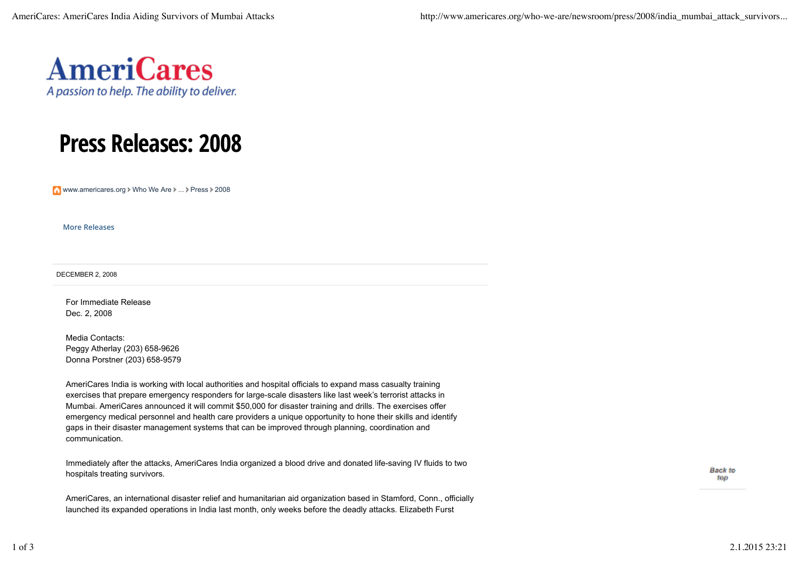

## Press Releases: 2008

www.americares.org > Who We Are > ... > Press > 2008

More Releases

DECEMBER 2, 2008

For Immediate Release Dec. 2, 2008

Media Contacts: Peggy Atherlay (203) 658-9626 Donna Porstner (203) 658-9579

AmeriCares India is working with local authorities and hospital officials to expand mass casualty training exercises that prepare emergency responders for large-scale disasters like last week's terrorist attacks in Mumbai. AmeriCares announced it will commit \$50,000 for disaster training and drills. The exercises offer emergency medical personnel and health care providers a unique opportunity to hone their skills and identify gaps in their disaster management systems that can be improved through planning, coordination and communication.

Immediately after the attacks, AmeriCares India organized a blood drive and donated life-saving IV fluids to two hospitals treating survivors.

AmeriCares, an international disaster relief and humanitarian aid organization based in Stamford, Conn., officially launched its expanded operations in India last month, only weeks before the deadly attacks. Elizabeth Furst

**Back to** top